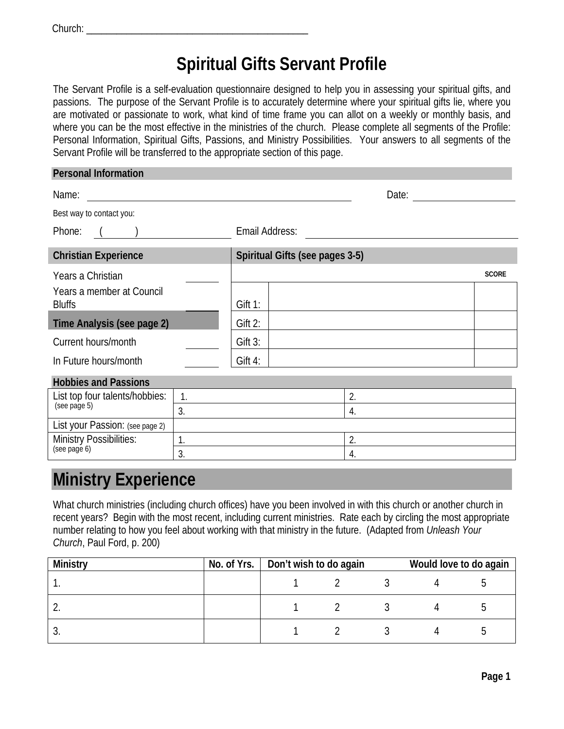| Church: |  |
|---------|--|
|         |  |

# **Spiritual Gifts Servant Profile**

The Servant Profile is a self-evaluation questionnaire designed to help you in assessing your spiritual gifts, and passions. The purpose of the Servant Profile is to accurately determine where your spiritual gifts lie, where you are motivated or passionate to work, what kind of time frame you can allot on a weekly or monthly basis, and where you can be the most effective in the ministries of the church. Please complete all segments of the Profile: Personal Information, Spiritual Gifts, Passions, and Ministry Possibilities. Your answers to all segments of the Servant Profile will be transferred to the appropriate section of this page.

| <b>Personal Information</b>                |                                 |              |
|--------------------------------------------|---------------------------------|--------------|
| Name:                                      | Date:                           |              |
| Best way to contact you:                   |                                 |              |
| Phone:                                     | Email Address:                  |              |
| <b>Christian Experience</b>                | Spiritual Gifts (see pages 3-5) |              |
| Years a Christian                          |                                 | <b>SCORE</b> |
| Years a member at Council<br><b>Bluffs</b> | $G$ ift 1:                      |              |
| Time Analysis (see page 2)                 | Gift 2:                         |              |
| Current hours/month                        | Gift 3:                         |              |
| In Future hours/month                      | Gift 4:                         |              |
| <b>Hobbies and Passions</b>                |                                 |              |
| List ton four talents/hobbies<br>1         | $\Omega$                        |              |

| List top four talents/hobbies:  |   |  |
|---------------------------------|---|--|
| (see page 5)                    | ັ |  |
| List your Passion: (see page 2) |   |  |
| <b>Ministry Possibilities:</b>  |   |  |
| (see page 6)                    |   |  |

## **Ministry Experience**

What church ministries (including church offices) have you been involved in with this church or another church in recent years? Begin with the most recent, including current ministries. Rate each by circling the most appropriate number relating to how you feel about working with that ministry in the future. (Adapted from *Unleash Your Church*, Paul Ford, p. 200)

| Ministry   | No. of Yrs.   Don't wish to do again |  |  | Would love to do again |  |
|------------|--------------------------------------|--|--|------------------------|--|
|            |                                      |  |  |                        |  |
| $\sqrt{ }$ |                                      |  |  |                        |  |
|            |                                      |  |  |                        |  |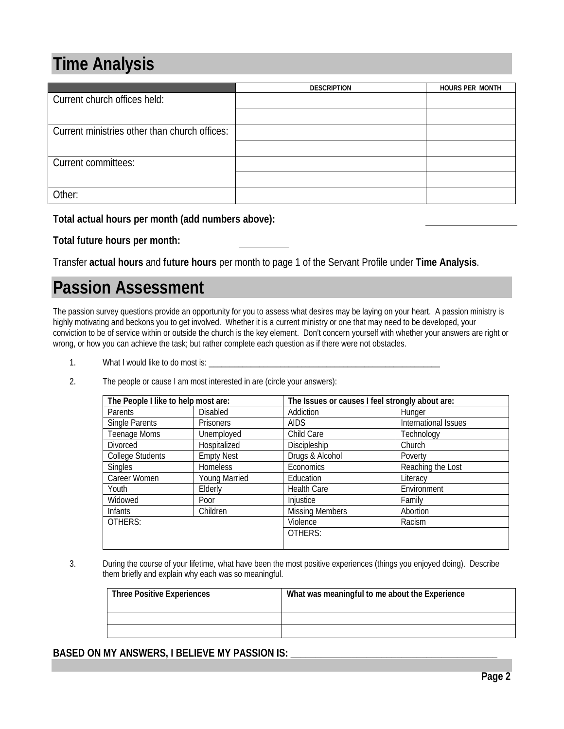# **Time Analysis**

|                                               | <b>DESCRIPTION</b> | <b>HOURS PER MONTH</b> |
|-----------------------------------------------|--------------------|------------------------|
| Current church offices held:                  |                    |                        |
|                                               |                    |                        |
| Current ministries other than church offices: |                    |                        |
|                                               |                    |                        |
| Current committees:                           |                    |                        |
|                                               |                    |                        |
| Other:                                        |                    |                        |

**Total actual hours per month (add numbers above):**

**Total future hours per month:**

Transfer **actual hours** and **future hours** per month to page 1 of the Servant Profile under **Time Analysis**.

# **Passion Assessment**

The passion survey questions provide an opportunity for you to assess what desires may be laying on your heart. A passion ministry is highly motivating and beckons you to get involved. Whether it is a current ministry or one that may need to be developed, your conviction to be of service within or outside the church is the key element. Don't concern yourself with whether your answers are right or wrong, or how you can achieve the task; but rather complete each question as if there were not obstacles.

- 1. What I would like to do most is: \_\_
- 2. The people or cause I am most interested in are (circle your answers):

| The People I like to help most are: |                      | The Issues or causes I feel strongly about are: |                      |  |
|-------------------------------------|----------------------|-------------------------------------------------|----------------------|--|
| Parents                             | <b>Disabled</b>      | Addiction                                       | Hunger               |  |
| Single Parents                      | <b>Prisoners</b>     | <b>AIDS</b>                                     | International Issues |  |
| Teenage Moms                        | Unemployed           | Child Care                                      | Technology           |  |
| Divorced                            | Hospitalized         | Discipleship                                    | Church               |  |
| <b>College Students</b>             | <b>Empty Nest</b>    | Drugs & Alcohol                                 | Poverty              |  |
| <b>Singles</b>                      | <b>Homeless</b>      | Economics                                       | Reaching the Lost    |  |
| Career Women                        | <b>Young Married</b> | Education                                       | Literacy             |  |
| Youth                               | Elderly              | <b>Health Care</b>                              | Environment          |  |
| Widowed                             | Poor                 | Injustice                                       | Family               |  |
| <b>Infants</b>                      | Children             | <b>Missing Members</b>                          | Abortion             |  |
| OTHERS:                             |                      | Violence                                        | Racism               |  |
|                                     |                      | OTHERS:                                         |                      |  |
|                                     |                      |                                                 |                      |  |

3. During the course of your lifetime, what have been the most positive experiences (things you enjoyed doing). Describe them briefly and explain why each was so meaningful.

| <b>Three Positive Experiences</b> | What was meaningful to me about the Experience |  |  |
|-----------------------------------|------------------------------------------------|--|--|
|                                   |                                                |  |  |
|                                   |                                                |  |  |
|                                   |                                                |  |  |

### BASED ON MY ANSWERS, I BELIEVE MY PASSION IS: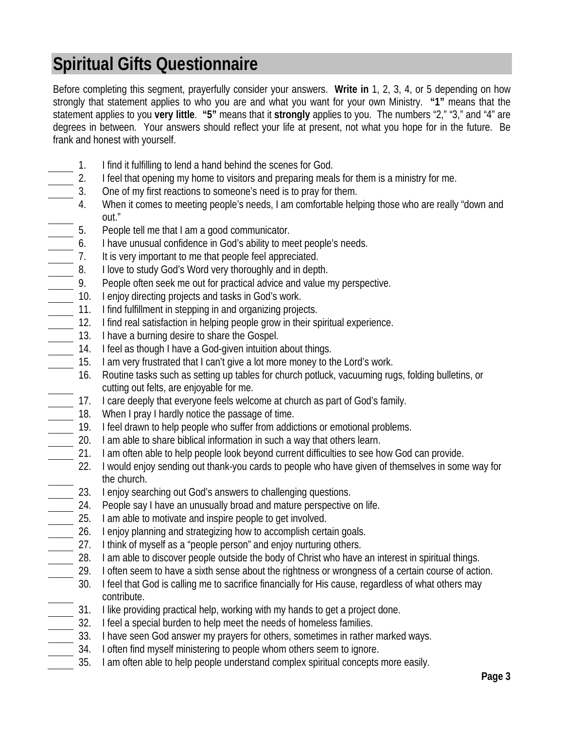# **Spiritual Gifts Questionnaire**

Before completing this segment, prayerfully consider your answers. **Write in** 1, 2, 3, 4, or 5 depending on how strongly that statement applies to who you are and what you want for your own Ministry. **"1"** means that the statement applies to you **very little**. **"5"** means that it **strongly** applies to you. The numbers "2," "3," and "4" are degrees in between. Your answers should reflect your life at present, not what you hope for in the future. Be frank and honest with yourself.

- 1. I find it fulfilling to lend a hand behind the scenes for God.
- 2. I feel that opening my home to visitors and preparing meals for them is a ministry for me.
- 3. One of my first reactions to someone's need is to pray for them.
- 4. When it comes to meeting people's needs, I am comfortable helping those who are really "down and out."
- 5. People tell me that I am a good communicator.
- 6. I have unusual confidence in God's ability to meet people's needs.
- 7. It is very important to me that people feel appreciated.
- 
- 8. I love to study God's Word very thoroughly and in depth.<br>9. People often seek me out for practical advice and value r<br>10. I enjoy directing projects and tasks in God's work People often seek me out for practical advice and value my perspective.
- 10. I enjoy directing projects and tasks in God's work.
- 11. I find fulfillment in stepping in and organizing projects.
- 12. I find real satisfaction in helping people grow in their spiritual experience.
- 13. I have a burning desire to share the Gospel.
- 14. I feel as though I have a God-given intuition about things.
- 15. I am very frustrated that I can't give a lot more money to the Lord's work.
- 16. Routine tasks such as setting up tables for church potluck, vacuuming rugs, folding bulletins, or cutting out felts, are enjoyable for me.
- 17. I care deeply that everyone feels welcome at church as part of God's family.
- 18. When I pray I hardly notice the passage of time.
- 19. I feel drawn to help people who suffer from addictions or emotional problems.
- 20. I am able to share biblical information in such a way that others learn.
- 21. I am often able to help people look beyond current difficulties to see how God can provide.
- 22. I would enjoy sending out thank-you cards to people who have given of themselves in some way for the church.
- 23. I enjoy searching out God's answers to challenging questions.
- 24. People say I have an unusually broad and mature perspective on life.
- 25. I am able to motivate and inspire people to get involved.
- 26. I enjoy planning and strategizing how to accomplish certain goals.
- $\frac{1}{27}$  27. I think of myself as a "people person" and enjoy nurturing others.
- 28. I am able to discover people outside the body of Christ who have an interest in spiritual things.
- 29. I often seem to have a sixth sense about the rightness or wrongness of a certain course of action.
- 30. I feel that God is calling me to sacrifice financially for His cause, regardless of what others may contribute.
- 31. I like providing practical help, working with my hands to get a project done.
- 32. I feel a special burden to help meet the needs of homeless families.
- 33. I have seen God answer my prayers for others, sometimes in rather marked ways.
- 34. I often find myself ministering to people whom others seem to ignore.
- 35. I am often able to help people understand complex spiritual concepts more easily.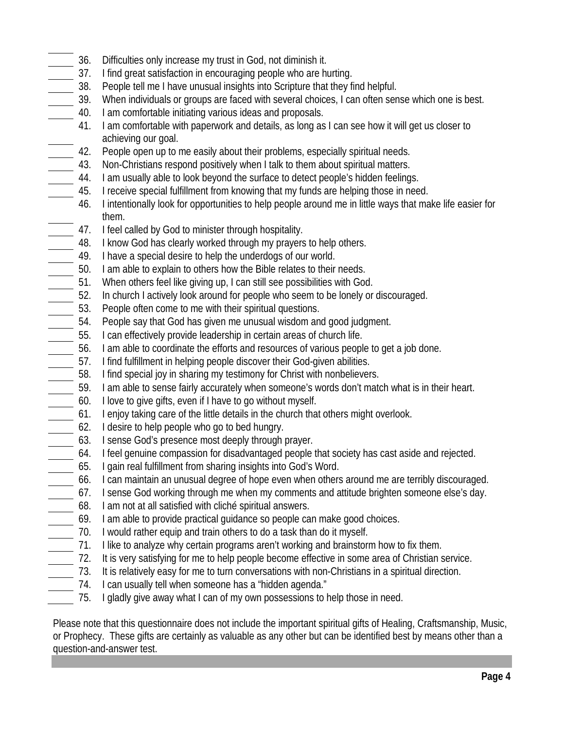- 36. Difficulties only increase my trust in God, not diminish it.
- 37. I find great satisfaction in encouraging people who are hurting.
- 38. People tell me I have unusual insights into Scripture that they find helpful.
- 39. When individuals or groups are faced with several choices, I can often sense which one is best.
- 40. I am comfortable initiating various ideas and proposals.
	- 41. I am comfortable with paperwork and details, as long as I can see how it will get us closer to achieving our goal.
- 42. People open up to me easily about their problems, especially spiritual needs.
- 43. Non-Christians respond positively when I talk to them about spiritual matters.
- 44. I am usually able to look beyond the surface to detect people's hidden feelings.
- 45. I receive special fulfillment from knowing that my funds are helping those in need.
	- 46. I intentionally look for opportunities to help people around me in little ways that make life easier for them.
- 47. I feel called by God to minister through hospitality.
- 48. I know God has clearly worked through my prayers to help others.
- 49. I have a special desire to help the underdogs of our world.
- 50. I am able to explain to others how the Bible relates to their needs.
- 51. When others feel like giving up, I can still see possibilities with God.
- 52. In church I actively look around for people who seem to be lonely or discouraged.
- 53. People often come to me with their spiritual questions.
- 54. People say that God has given me unusual wisdom and good judgment.
- 55. I can effectively provide leadership in certain areas of church life.
- 56. I am able to coordinate the efforts and resources of various people to get a job done.
- 57. I find fulfillment in helping people discover their God-given abilities.
- 58. I find special joy in sharing my testimony for Christ with nonbelievers.
- 59. I am able to sense fairly accurately when someone's words don't match what is in their heart.
- 60. I love to give gifts, even if I have to go without myself.
- 61. I enjoy taking care of the little details in the church that others might overlook.
- 62. I desire to help people who go to bed hungry.
- 63. I sense God's presence most deeply through prayer.
- 64. I feel genuine compassion for disadvantaged people that society has cast aside and rejected.
- 65. I gain real fulfillment from sharing insights into God's Word.
- 66. I can maintain an unusual degree of hope even when others around me are terribly discouraged.
- 67. I sense God working through me when my comments and attitude brighten someone else's day.
- 68. I am not at all satisfied with cliché spiritual answers.
- 69. I am able to provide practical guidance so people can make good choices.
- 70. I would rather equip and train others to do a task than do it myself.
- 71. I like to analyze why certain programs aren't working and brainstorm how to fix them.
- 72. It is very satisfying for me to help people become effective in some area of Christian service.
- 73. It is relatively easy for me to turn conversations with non-Christians in a spiritual direction.
	- 74. I can usually tell when someone has a "hidden agenda."
	- 75. I gladly give away what I can of my own possessions to help those in need.

Please note that this questionnaire does not include the important spiritual gifts of Healing, Craftsmanship, Music, or Prophecy. These gifts are certainly as valuable as any other but can be identified best by means other than a question-and-answer test.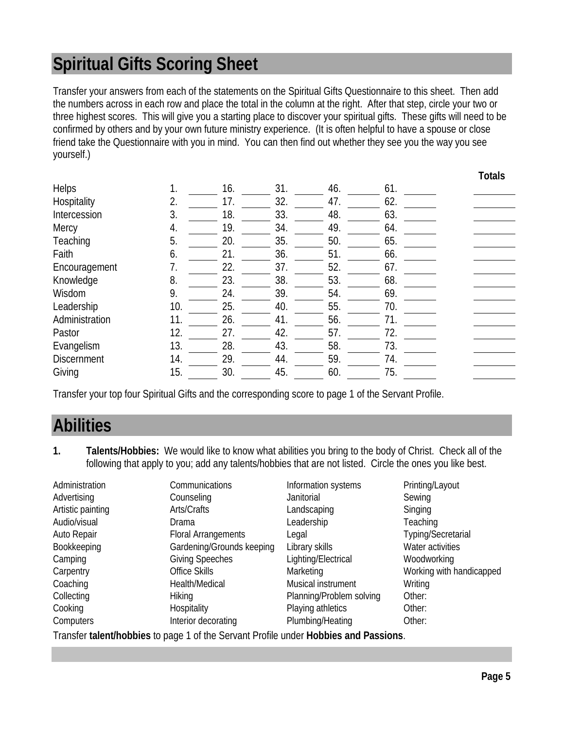# **Spiritual Gifts Scoring Sheet**

Transfer your answers from each of the statements on the Spiritual Gifts Questionnaire to this sheet. Then add the numbers across in each row and place the total in the column at the right. After that step, circle your two or three highest scores. This will give you a starting place to discover your spiritual gifts. These gifts will need to be confirmed by others and by your own future ministry experience. (It is often helpful to have a spouse or close friend take the Questionnaire with you in mind. You can then find out whether they see you the way you see yourself.)

|                    |     |     |     |     |     | <b>TULAIS</b> |
|--------------------|-----|-----|-----|-----|-----|---------------|
| <b>Helps</b>       |     | 16. | 31. | 46. | 61. |               |
| Hospitality        |     | 17. | 32. | 47. | 62. |               |
| Intercession       | 3.  | 18. | 33. | 48. | 63. |               |
| Mercy              | 4.  | 19. | 34. | 49. | 64. |               |
| Teaching           | 5.  | 20. | 35. | 50. | 65. |               |
| Faith              | 6.  | 21. | 36. | 51. | 66. |               |
| Encouragement      | 7.  | 22. | 37. | 52. | 67. |               |
| Knowledge          | 8.  | 23. | 38. | 53. | 68. |               |
| Wisdom             | 9.  | 24. | 39. | 54. | 69. |               |
| Leadership         | 10. | 25. | 40. | 55. | 70. |               |
| Administration     | 11. | 26. | 41. | 56. | 71. |               |
| Pastor             | 12. | 27. | 42. | 57. | 72. |               |
| Evangelism         | 13. | 28. | 43. | 58. | 73. |               |
| <b>Discernment</b> | 14. | 29. | 44. | 59. | 74. |               |
| Giving             | 15. | 30. | 45. | 60. | 75. |               |

Transfer your top four Spiritual Gifts and the corresponding score to page 1 of the Servant Profile.

### **Abilities**

**1. Talents/Hobbies:** We would like to know what abilities you bring to the body of Christ. Check all of the following that apply to you; add any talents/hobbies that are not listed. Circle the ones you like best.

| Administration         | Communications                     | Information systems      | Printing/Layout          |
|------------------------|------------------------------------|--------------------------|--------------------------|
| Advertising            | Counseling                         | Janitorial               | Sewing                   |
| Artistic painting      | Arts/Crafts                        | Landscaping              | Singing                  |
| Audio/visual           | Drama                              | Leadership               | Teaching                 |
| Auto Repair            | <b>Floral Arrangements</b>         | Legal                    | Typing/Secretarial       |
| Bookkeeping            | Gardening/Grounds keeping          | Library skills           | Water activities         |
| Camping                | <b>Giving Speeches</b>             | Lighting/Electrical      | Woodworking              |
| Carpentry              | Office Skills                      | Marketing                | Working with handicapped |
| Coaching               | Health/Medical                     | Musical instrument       | Writing                  |
| Collecting             | <b>Hiking</b>                      | Planning/Problem solving | Other:                   |
| Cooking                | Hospitality                        | Playing athletics        | Other:                   |
| Computers              | Interior decorating                | Plumbing/Heating         | Other:                   |
| — <i>с</i> против<br>. | $\sim$ $\sim$ $\sim$ $\sim$ $\sim$ | .                        |                          |

Transfer **talent/hobbies** to page 1 of the Servant Profile under **Hobbies and Passions**.

**Totals**